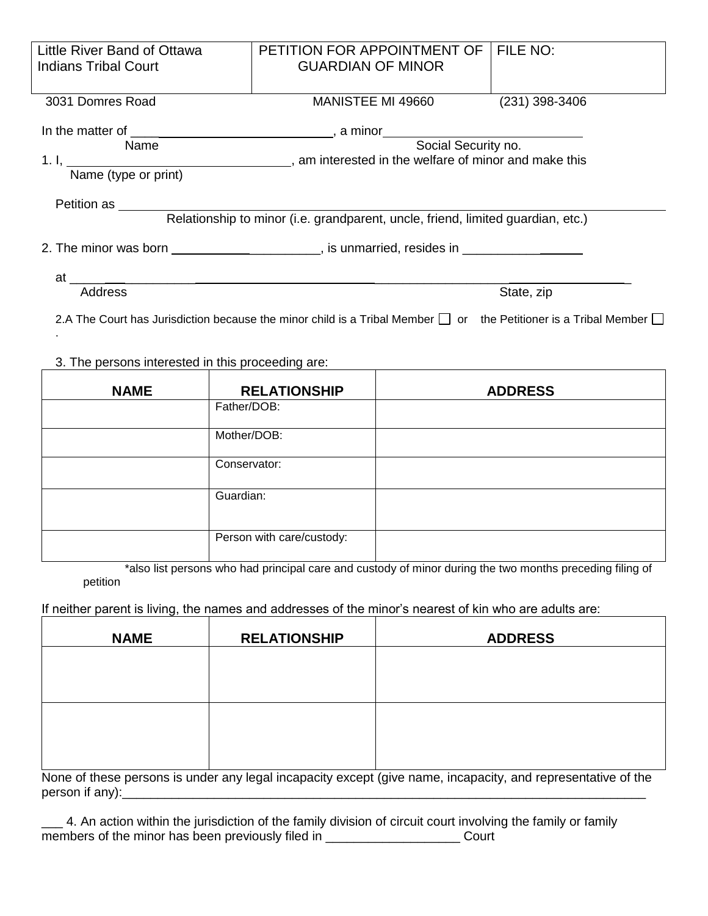| Little River Band of Ottawa                                                                                                                                                                                                               | PETITION FOR APPOINTMENT OF                                                                                          |                   | FILE NO:                                                                                                                     |  |
|-------------------------------------------------------------------------------------------------------------------------------------------------------------------------------------------------------------------------------------------|----------------------------------------------------------------------------------------------------------------------|-------------------|------------------------------------------------------------------------------------------------------------------------------|--|
| <b>Indians Tribal Court</b>                                                                                                                                                                                                               | <b>GUARDIAN OF MINOR</b>                                                                                             |                   |                                                                                                                              |  |
|                                                                                                                                                                                                                                           |                                                                                                                      |                   | $(231)$ 398-3406                                                                                                             |  |
| 3031 Domres Road                                                                                                                                                                                                                          |                                                                                                                      | MANISTEE MI 49660 |                                                                                                                              |  |
| In the matter of Name Name , a minor Social Security no.                                                                                                                                                                                  |                                                                                                                      |                   |                                                                                                                              |  |
|                                                                                                                                                                                                                                           |                                                                                                                      |                   |                                                                                                                              |  |
| 1. I, Name (type or print) ____________________, am interested in the welfare of minor and make this                                                                                                                                      |                                                                                                                      |                   |                                                                                                                              |  |
|                                                                                                                                                                                                                                           |                                                                                                                      |                   |                                                                                                                              |  |
| Petition as ________                                                                                                                                                                                                                      |                                                                                                                      |                   |                                                                                                                              |  |
|                                                                                                                                                                                                                                           | Relationship to minor (i.e. grandparent, uncle, friend, limited guardian, etc.)                                      |                   |                                                                                                                              |  |
| 2. The minor was born ________________________, is unmarried, resides in ______________                                                                                                                                                   |                                                                                                                      |                   |                                                                                                                              |  |
|                                                                                                                                                                                                                                           |                                                                                                                      |                   |                                                                                                                              |  |
| at the contract of the contract of the contract of the contract of the contract of the contract of the contract of the contract of the contract of the contract of the contract of the contract of the contract of the contrac<br>Address | <u> 1989 - Johann Barbara, martxa a shekara tsa 1989 - An tsa 1989 - An tsa 1989 - An tsa 1989 - An tsa 1989 - A</u> |                   | State, zip                                                                                                                   |  |
|                                                                                                                                                                                                                                           |                                                                                                                      |                   |                                                                                                                              |  |
|                                                                                                                                                                                                                                           |                                                                                                                      |                   | 2.A The Court has Jurisdiction because the minor child is a Tribal Member $\Box$ or the Petitioner is a Tribal Member $\Box$ |  |
|                                                                                                                                                                                                                                           |                                                                                                                      |                   |                                                                                                                              |  |
| 3. The persons interested in this proceeding are:                                                                                                                                                                                         |                                                                                                                      |                   |                                                                                                                              |  |
|                                                                                                                                                                                                                                           |                                                                                                                      |                   |                                                                                                                              |  |
| <b>NAME</b>                                                                                                                                                                                                                               | <b>RELATIONSHIP</b><br>Father/DOB:                                                                                   |                   | <b>ADDRESS</b>                                                                                                               |  |
|                                                                                                                                                                                                                                           |                                                                                                                      |                   |                                                                                                                              |  |
|                                                                                                                                                                                                                                           | Mother/DOB:                                                                                                          |                   |                                                                                                                              |  |
|                                                                                                                                                                                                                                           | Conservator:                                                                                                         |                   |                                                                                                                              |  |
|                                                                                                                                                                                                                                           |                                                                                                                      |                   |                                                                                                                              |  |
|                                                                                                                                                                                                                                           | Guardian:                                                                                                            |                   |                                                                                                                              |  |
|                                                                                                                                                                                                                                           |                                                                                                                      |                   |                                                                                                                              |  |
|                                                                                                                                                                                                                                           | Person with care/custody:                                                                                            |                   |                                                                                                                              |  |
|                                                                                                                                                                                                                                           |                                                                                                                      |                   |                                                                                                                              |  |
|                                                                                                                                                                                                                                           |                                                                                                                      |                   | *also list persons who had principal care and custody of minor during the two months preceding filing of                     |  |
| petition                                                                                                                                                                                                                                  |                                                                                                                      |                   |                                                                                                                              |  |
|                                                                                                                                                                                                                                           |                                                                                                                      |                   |                                                                                                                              |  |
| If neither parent is living, the names and addresses of the minor's nearest of kin who are adults are:                                                                                                                                    |                                                                                                                      |                   |                                                                                                                              |  |

| <b>NAME</b> | <b>RELATIONSHIP</b> | <b>ADDRESS</b> |
|-------------|---------------------|----------------|
|             |                     |                |
|             |                     |                |
|             |                     |                |
|             |                     |                |
|             |                     |                |

None of these persons is under any legal incapacity except (give name, incapacity, and representative of the person if any): $\overline{\phantom{a}}$ 

\_\_\_ 4. An action within the jurisdiction of the family division of circuit court involving the family or family members of the minor has been previously filed in \_\_\_\_\_\_\_\_\_\_\_\_\_\_\_\_\_\_\_\_\_\_\_\_\_Court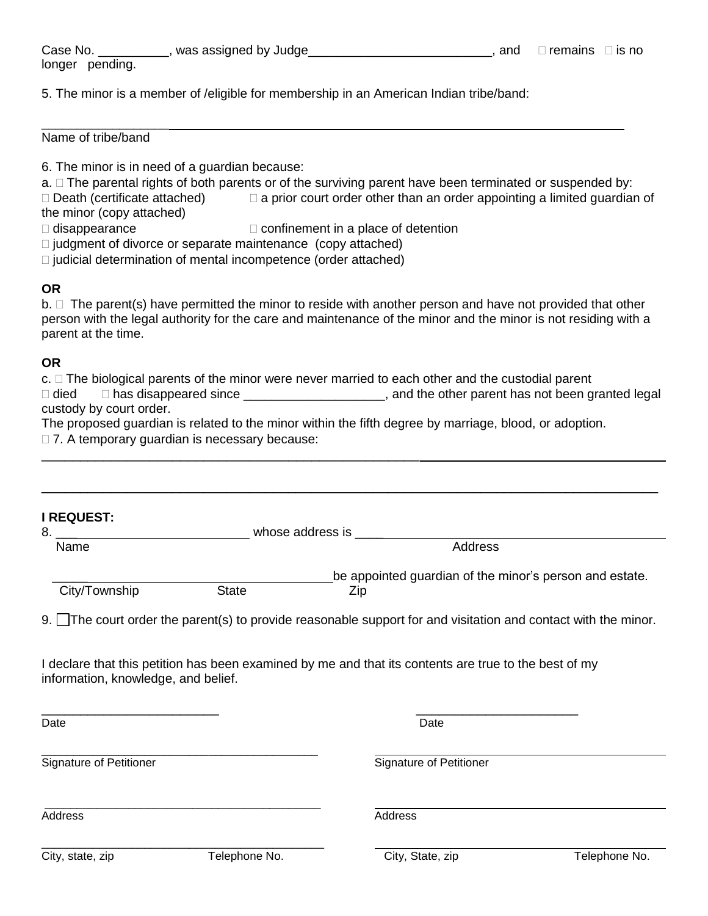Case No.  $\frac{1}{\sqrt{1-\frac{1}{2}}}\$ , was assigned by Judge $\frac{1}{\sqrt{1-\frac{1}{2}}}\$ , and  $\frac{1}{\sqrt{1-\frac{1}{2}}}\$  is no longer pending.

5. The minor is a member of /eligible for membership in an American Indian tribe/band:

\_\_\_\_\_\_\_\_\_\_\_\_\_\_\_\_\_\_ Name of tribe/band

6. The minor is in need of a guardian because:

a.  $\Box$  The parental rights of both parents or of the surviving parent have been terminated or suspended by:

 $\Box$  Death (certificate attached)  $\Box$  a prior court order other than an order appointing a limited guardian of the minor (copy attached)

 $\Box$  disappearance  $\Box$  confinement in a place of detention

 $\Box$  judgment of divorce or separate maintenance (copy attached)

 $\Box$  judicial determination of mental incompetence (order attached)

\_\_\_\_\_\_\_\_\_\_\_\_\_\_\_\_\_\_\_\_\_\_\_\_\_\_\_\_\_\_\_\_\_\_\_\_\_\_\_\_\_\_\_\_\_\_\_\_\_

## **OR**

 $b. \Box$  The parent(s) have permitted the minor to reside with another person and have not provided that other person with the legal authority for the care and maintenance of the minor and the minor is not residing with a parent at the time.

## **OR**

 $c.$   $\square$  The biological parents of the minor were never married to each other and the custodial parent

□ died □ has disappeared since \_\_\_\_\_\_\_\_\_\_\_\_\_\_\_\_\_\_\_\_\_\_\_, and the other parent has not been granted legal custody by court order.

The proposed guardian is related to the minor within the fifth degree by marriage, blood, or adoption.

□ 7. A temporary guardian is necessary because:

| <b>I REQUEST:</b>                   |                       |                                                                                                               |               |  |
|-------------------------------------|-----------------------|---------------------------------------------------------------------------------------------------------------|---------------|--|
| 8.                                  | whose address is ____ |                                                                                                               |               |  |
| Name                                |                       | Address                                                                                                       |               |  |
|                                     |                       | be appointed guardian of the minor's person and estate.                                                       |               |  |
| City/Township                       | <b>State</b>          | Zip                                                                                                           |               |  |
|                                     |                       | 9. The court order the parent(s) to provide reasonable support for and visitation and contact with the minor. |               |  |
| information, knowledge, and belief. |                       | I declare that this petition has been examined by me and that its contents are true to the best of my         |               |  |
| Date                                |                       | Date                                                                                                          |               |  |
| <b>Signature of Petitioner</b>      |                       | <b>Signature of Petitioner</b>                                                                                |               |  |
| Address                             |                       | Address                                                                                                       |               |  |
| City, state, zip                    | Telephone No.         | City, State, zip                                                                                              | Telephone No. |  |